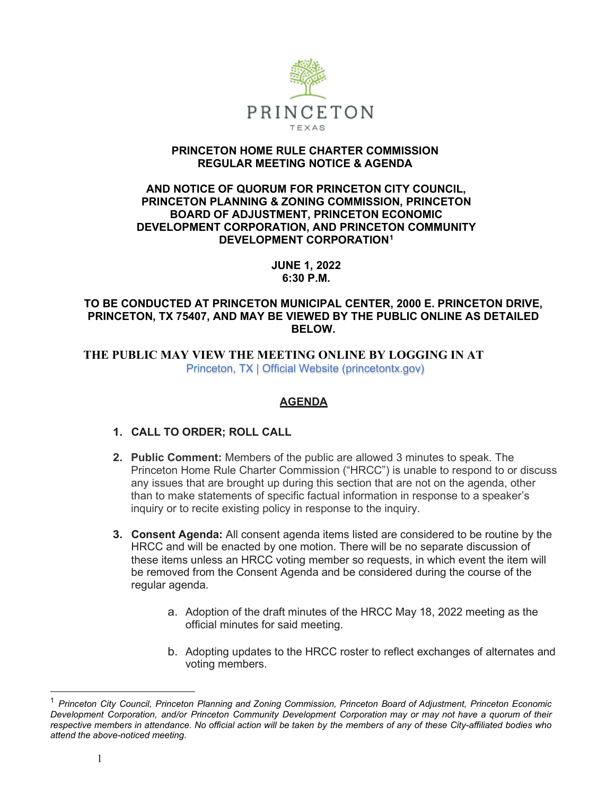

### **PRINCETON HOME RULE CHARTER COMMISSION REGULAR MEETING NOTICE & AGENDA**

### **AND NOTICE OF QUORUM FOR PRINCETON CITY COUNCIL, PRINCETON PLANNING & ZONING COMMISSION, PRINCETON BOARD OF ADJUSTMENT, PRINCETON ECONOMIC DEVELOPMENT CORPORATION, AND PRINCETON COMMUNITY DEVELOPMENT CORPORATION[1](#page-0-0)**

**JUNE 1, 2022 6:30 P.M.**

# **TO BE CONDUCTED AT PRINCETON MUNICIPAL CENTER, 2000 E. PRINCETON DRIVE, PRINCETON, TX 75407, AND MAY BE VIEWED BY THE PUBLIC ONLINE AS DETAILED BELOW.**

 **THE PUBLIC MAY VIEW THE MEETING ONLINE BY LOGGING IN AT**  Princeton, TX | Official Website (princetontx.gov)

# **AGENDA**

# **1. CALL TO ORDER; ROLL CALL**

- **2. Public Comment:** Members of the public are allowed 3 minutes to speak. The Princeton Home Rule Charter Commission ("HRCC") is unable to respond to or discuss any issues that are brought up during this section that are not on the agenda, other than to make statements of specific factual information in response to a speaker's inquiry or to recite existing policy in response to the inquiry.
- **3. Consent Agenda:** All consent agenda items listed are considered to be routine by the HRCC and will be enacted by one motion. There will be no separate discussion of these items unless an HRCC voting member so requests, in which event the item will be removed from the Consent Agenda and be considered during the course of the regular agenda.
	- a. Adoption of the draft minutes of the HRCC May 18, 2022 meeting as the official minutes for said meeting.
	- b. Adopting updates to the HRCC roster to reflect exchanges of alternates and voting members.

<span id="page-0-0"></span><sup>1</sup> *Princeton City Council, Princeton Planning and Zoning Commission, Princeton Board of Adjustment, Princeton Economic Development Corporation, and/or Princeton Community Development Corporation may or may not have a quorum of their* respective members in attendance. No official action will be taken by the members of any of these City-affiliated bodies who *attend the above-noticed meeting.*